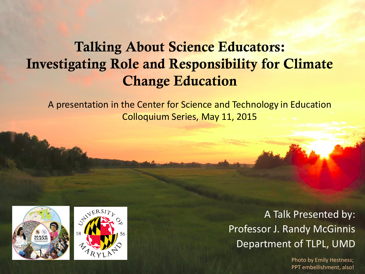## **Talking About Science Educators: Investigating Role and Responsibility for Climate Change Education**

A presentation in the Center for Science and Technology in Education Colloquium Series, May 11, 2015





A Talk Presented by: Professor J. Randy McGinnis Department of TLPL, UMD

> Photo by Emily Hestness; PPT embellishment, also!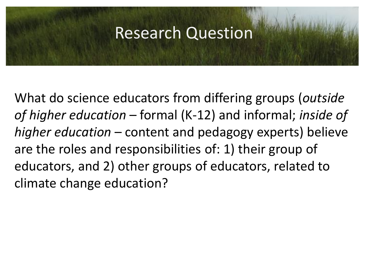## **Research Question**

What do science educators from differing groups (*outside of higher education* – formal (K-12) and informal; *inside of higher education* – content and pedagogy experts) believe are the roles and responsibilities of: 1) their group of educators, and 2) other groups of educators, related to climate change education?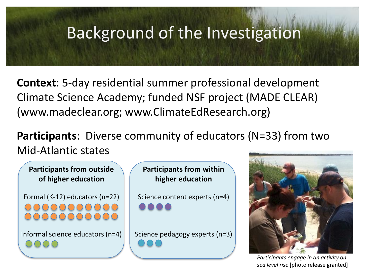## Background of the Investigation

**Context**: 5-day residential summer professional development Climate Science Academy; funded NSF project (MADE CLEAR) (www.madeclear.org; www.ClimateEdResearch.org)

**Participants**: Diverse community of educators (N=33) from two Mid-Atlantic states



**Participants from within higher education**

Science content experts (n=4)

Science pedagogy experts (n=3)



*Participants engage in an activity on sea level rise* [photo release granted]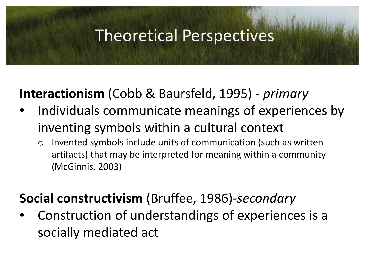## Theoretical Perspectives

## **Interactionism** (Cobb & Baursfeld, 1995) - *primary*

- Individuals communicate meanings of experiences by inventing symbols within a cultural context
	- o Invented symbols include units of communication (such as written artifacts) that may be interpreted for meaning within a community (McGinnis, 2003)

**Social constructivism** (Bruffee, 1986)*-secondary*

• Construction of understandings of experiences is a socially mediated act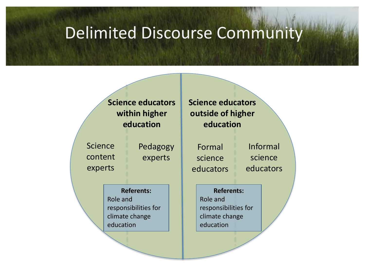## Delimited Discourse Community

#### **Science educators within higher education**

Science content experts Pedagogy experts

**Referents:**  Role and responsibilities for climate change education

**Science educators outside of higher education**

Formal science educators

Informal science educators

#### **Referents:**

Role and responsibilities for climate change education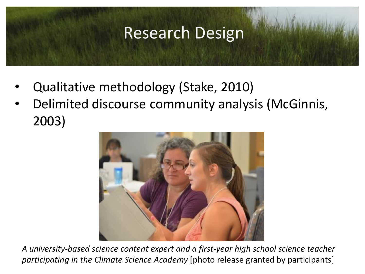## Research Design

- Qualitative methodology (Stake, 2010)
- Delimited discourse community analysis (McGinnis, 2003)



*A university-based science content expert and a first-year high school science teacher participating in the Climate Science Academy* [photo release granted by participants]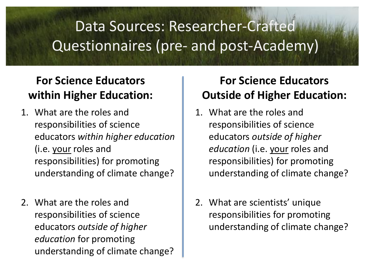# Data Sources: Researcher-Crafted Questionnaires (pre- and post-Academy)

## **For Science Educators within Higher Education:**

- 1. What are the roles and responsibilities of science educators *within higher education* (i.e. your roles and responsibilities) for promoting understanding of climate change?
- 2. What are the roles and responsibilities of science educators *outside of higher education* for promoting understanding of climate change?

## **For Science Educators Outside of Higher Education:**

- 1. What are the roles and responsibilities of science educators *outside of higher education* (i.e. your roles and responsibilities) for promoting understanding of climate change?
- 2. What are scientists' unique responsibilities for promoting understanding of climate change?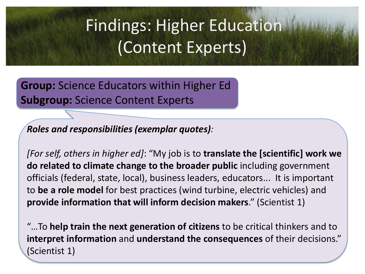# **Findings: Higher Education** (Content Experts)

**Group:** Science Educators within Higher Ed **Subgroup:** Science Content Experts

*Roles and responsibilities (exemplar quotes):*

*[For self, others in higher ed]*: "My job is to **translate the [scientific] work we do related to climate change to the broader public** including government officials (federal, state, local), business leaders, educators... It is important to **be a role model** for best practices (wind turbine, electric vehicles) and **provide information that will inform decision makers**." (Scientist 1)

"…To **help train the next generation of citizens** to be critical thinkers and to **interpret information** and **understand the consequences** of their decisions." (Scientist 1)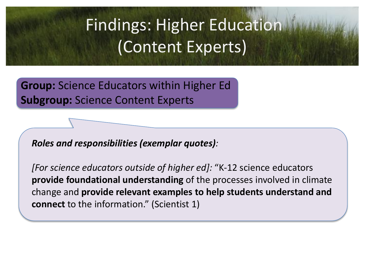# **Findings: Higher Education** (Content Experts)

**Group:** Science Educators within Higher Ed **Subgroup:** Science Content Experts

*Roles and responsibilities (exemplar quotes):*

*[For science educators outside of higher ed]:* "K-12 science educators **provide foundational understanding** of the processes involved in climate change and **provide relevant examples to help students understand and connect** to the information." (Scientist 1)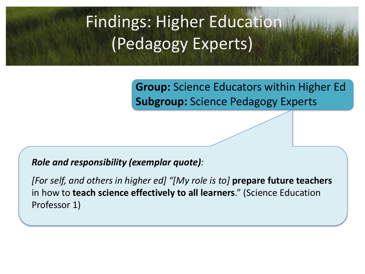# Findings: Higher Education (Pedagogy Experts)

**Group:** Science Educators within Higher Ed **Subgroup:** Science Pedagogy Experts

#### *Role and responsibility (exemplar quote):*

*[For self, and others in higher ed] "[My role is to]* **prepare future teachers**  in how to **teach science effectively to all learners**." (Science Education Professor 1)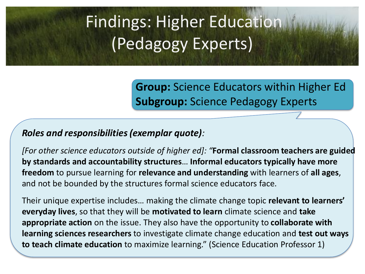# **Findings: Higher Education** (Pedagogy Experts)

**Group:** Science Educators within Higher Ed **Subgroup:** Science Pedagogy Experts

#### *Roles and responsibilities (exemplar quote):*

*[For other science educators outside of higher ed]: "***Formal classroom teachers are guided by standards and accountability structures**… **Informal educators typically have more freedom** to pursue learning for **relevance and understanding** with learners of **all ages**, and not be bounded by the structures formal science educators face.

Their unique expertise includes… making the climate change topic **relevant to learners' everyday lives**, so that they will be **motivated to learn** climate science and **take appropriate action** on the issue. They also have the opportunity to **collaborate with learning sciences researchers** to investigate climate change education and **test out ways to teach climate education** to maximize learning." (Science Education Professor 1)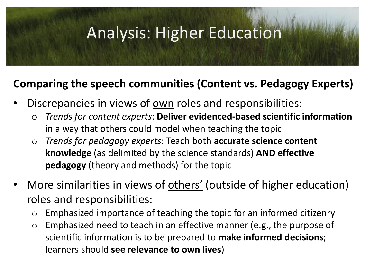# Analysis: Higher Education

### **Comparing the speech communities (Content vs. Pedagogy Experts)**

- Discrepancies in views of own roles and responsibilities:
	- o *Trends for content experts*: **Deliver evidenced-based scientific information**  in a way that others could model when teaching the topic
	- o *Trends for pedagogy experts*: Teach both **accurate science content knowledge** (as delimited by the science standards) **AND effective pedagogy** (theory and methods) for the topic
- More similarities in views of others' (outside of higher education) roles and responsibilities:
	- $\circ$  Emphasized importance of teaching the topic for an informed citizenry
	- o Emphasized need to teach in an effective manner (e.g., the purpose of scientific information is to be prepared to **make informed decisions**; learners should **see relevance to own lives**)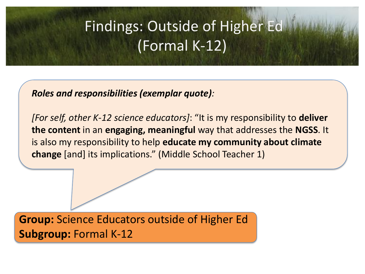### UUTSIQE OT<br>Ormal K-1 Findings: Outside of Higher Ed (Formal K-12)

*Roles and responsibilities (exemplar quote):*

*[For self, other K-12 science educators]*: "It is my responsibility to **deliver the content** in an **engaging, meaningful** way that addresses the **NGSS**. It is also my responsibility to help **educate my community about climate change** [and] its implications." (Middle School Teacher 1)

**Group:** Science Educators outside of Higher Ed **Subgroup:** Formal K-12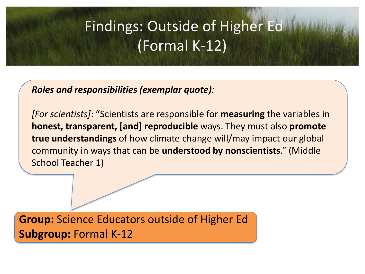### UUTSIQE OT<br>Ormal K-1 Findings: Outside of Higher Ed (Formal K-12)

*Roles and responsibilities (exemplar quote):*

*[For scientists]*: "Scientists are responsible for **measuring** the variables in **honest, transparent, [and] reproducible** ways. They must also **promote true understandings** of how climate change will/may impact our global community in ways that can be **understood by nonscientists**." (Middle School Teacher 1)

**Group:** Science Educators outside of Higher Ed **Subgroup:** Formal K-12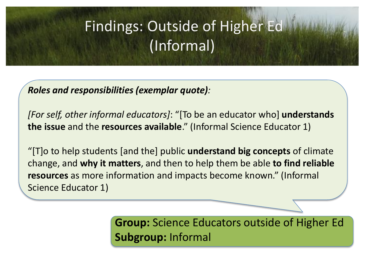### UUTSIAE OT<br>*(*Informal) Findings: Outside of Higher Ed (Informal)

*Roles and responsibilities (exemplar quote):*

*[For self, other informal educators]*: "[To be an educator who] **understands the issue** and the **resources available**." (Informal Science Educator 1)

"[T]o to help students [and the] public **understand big concepts** of climate change, and **why it matters**, and then to help them be able **to find reliable resources** as more information and impacts become known." (Informal Science Educator 1)

> **Group:** Science Educators outside of Higher Ed **Subgroup:** Informal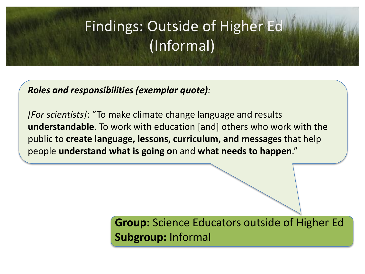### UUTSIAE OT<br>*(*Informal) Findings: Outside of Higher Ed (Informal)

*Roles and responsibilities (exemplar quote):*

*[For scientists]*: "To make climate change language and results **understandable**. To work with education [and] others who work with the public to **create language, lessons, curriculum, and messages** that help people **understand what is going o**n and **what needs to happen**."

> **Group:** Science Educators outside of Higher Ed **Subgroup:** Informal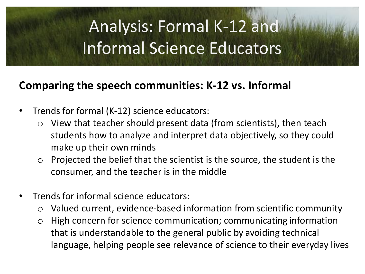# Analysis: Formal K-12 and Informal Science Educators

### **Comparing the speech communities: K-12 vs. Informal**

- Trends for formal (K-12) science educators:
	- $\circ$  View that teacher should present data (from scientists), then teach students how to analyze and interpret data objectively, so they could make up their own minds
	- $\circ$  Projected the belief that the scientist is the source, the student is the consumer, and the teacher is in the middle
- Trends for informal science educators:
	- o Valued current, evidence-based information from scientific community
	- $\circ$  High concern for science communication; communicating information that is understandable to the general public by avoiding technical language, helping people see relevance of science to their everyday lives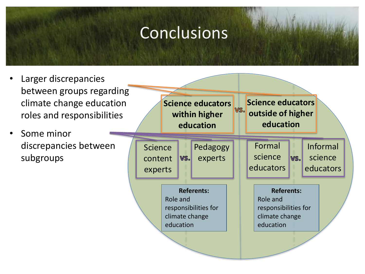## Conclusions

- Larger discrepancies between groups regarding climate change education roles and responsibilities
- Some minor discrepancies between subgroups

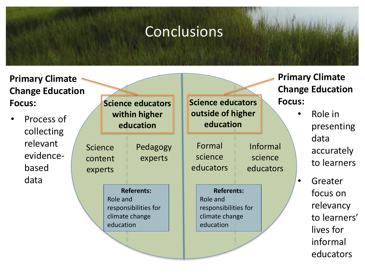# Conclusions

| <b>Primary Climate</b><br><b>Change Education</b>                  |                                      |                            |                                                             | <b>Primary Climate</b><br><b>Change Education</b>                                    |                                         |               |                                                                                        |
|--------------------------------------------------------------------|--------------------------------------|----------------------------|-------------------------------------------------------------|--------------------------------------------------------------------------------------|-----------------------------------------|---------------|----------------------------------------------------------------------------------------|
| <b>Focus:</b>                                                      |                                      | Science educators          |                                                             | <b>Science educators</b>                                                             |                                         | <b>Focus:</b> |                                                                                        |
| Process of<br>collecting<br>relevant<br>evidence-<br>based<br>data | <b>Science</b><br>content<br>experts | within higher<br>education |                                                             | outside of higher<br>education                                                       |                                         |               | Role in<br>presenting<br>data<br>accurately<br>to learners                             |
|                                                                    |                                      | Pedagogy<br>experts        |                                                             | Formal<br>science<br>educators                                                       | <b>Informal</b><br>science<br>educators |               |                                                                                        |
|                                                                    |                                      | Role and<br>education      | <b>Referents:</b><br>responsibilities for<br>climate change | <b>Referents:</b><br>Role and<br>responsibilities for<br>climate change<br>education |                                         |               | Greater<br>focus on<br>relevancy<br>to learners'<br>lives for<br>informal<br>educators |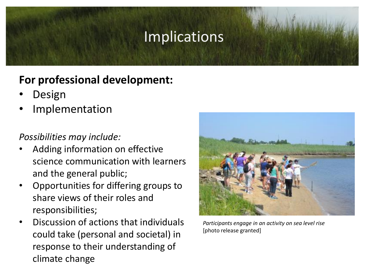## **Implications**

### **For professional development:**

- **Design**
- **Implementation**

#### *Possibilities may include:*

- Adding information on effective science communication with learners and the general public;
- Opportunities for differing groups to share views of their roles and responsibilities;
- Discussion of actions that individuals could take (personal and societal) in response to their understanding of climate change



*Participants engage in an activity on sea level rise*  [photo release granted]